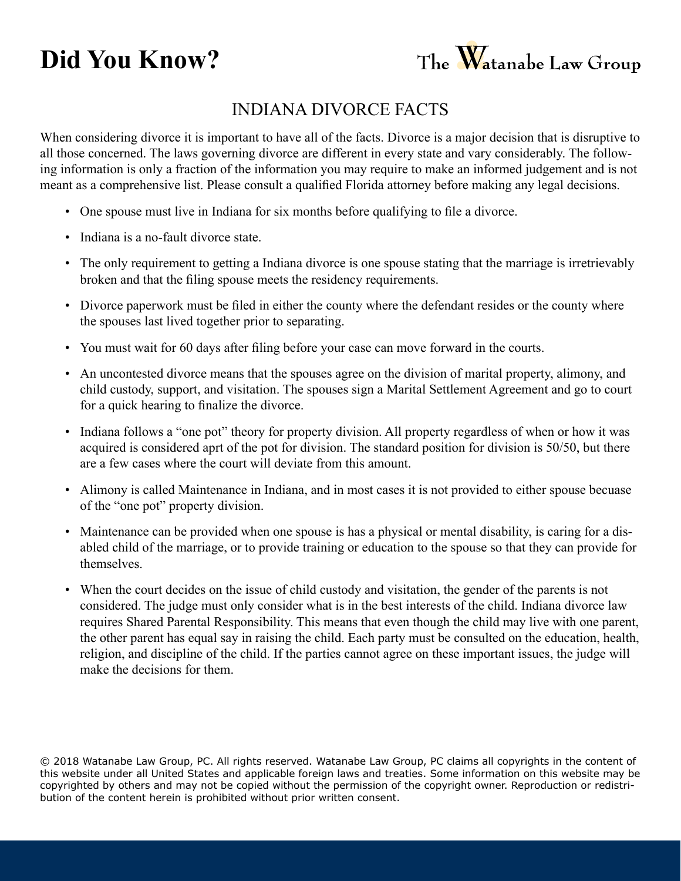## **Did You Know?**



## INDIANA Divorce Facts

When considering divorce it is important to have all of the facts. Divorce is a major decision that is disruptive to all those concerned. The laws governing divorce are different in every state and vary considerably. The following information is only a fraction of the information you may require to make an informed judgement and is not meant as a comprehensive list. Please consult a qualified Florida attorney before making any legal decisions.

- One spouse must live in Indiana for six months before qualifying to file a divorce.
- Indiana is a no-fault divorce state.
- The only requirement to getting a Indiana divorce is one spouse stating that the marriage is irretrievably broken and that the filing spouse meets the residency requirements.
- Divorce paperwork must be filed in either the county where the defendant resides or the county where the spouses last lived together prior to separating.
- You must wait for 60 days after filing before your case can move forward in the courts.
- An uncontested divorce means that the spouses agree on the division of marital property, alimony, and child custody, support, and visitation. The spouses sign a Marital Settlement Agreement and go to court for a quick hearing to finalize the divorce.
- Indiana follows a "one pot" theory for property division. All property regardless of when or how it was acquired is considered aprt of the pot for division. The standard position for division is 50/50, but there are a few cases where the court will deviate from this amount.
- Alimony is called Maintenance in Indiana, and in most cases it is not provided to either spouse becuase of the "one pot" property division.
- Maintenance can be provided when one spouse is has a physical or mental disability, is caring for a disabled child of the marriage, or to provide training or education to the spouse so that they can provide for themselves.
- When the court decides on the issue of child custody and visitation, the gender of the parents is not considered. The judge must only consider what is in the best interests of the child. Indiana divorce law requires Shared Parental Responsibility. This means that even though the child may live with one parent, the other parent has equal say in raising the child. Each party must be consulted on the education, health, religion, and discipline of the child. If the parties cannot agree on these important issues, the judge will make the decisions for them.

© 2018 Watanabe Law Group, PC. All rights reserved. Watanabe Law Group, PC claims all copyrights in the content of this website under all United States and applicable foreign laws and treaties. Some information on this website may be copyrighted by others and may not be copied without the permission of the copyright owner. Reproduction or redistribution of the content herein is prohibited without prior written consent.